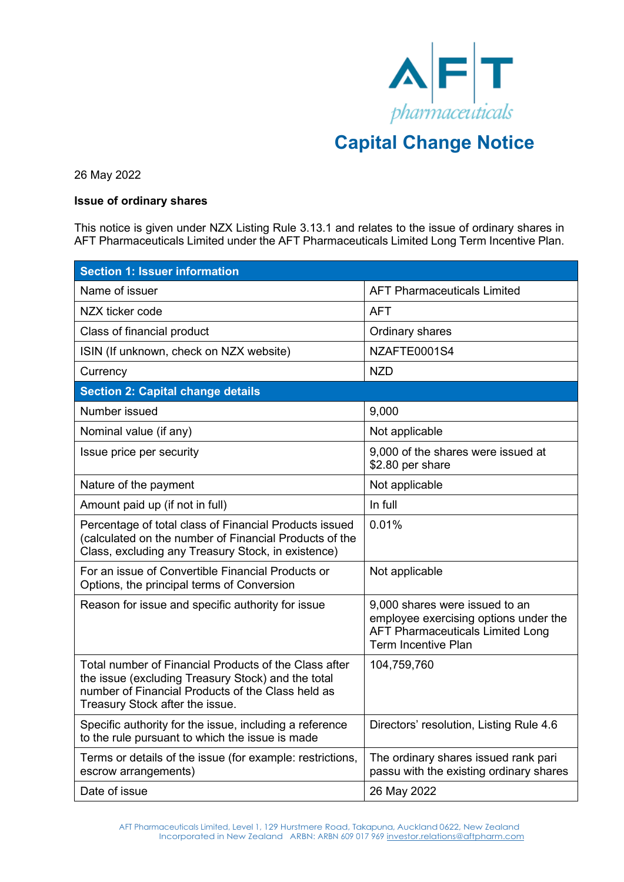

## **Capital Change Notice**

26 May 2022

## **Issue of ordinary shares**

This notice is given under NZX Listing Rule 3.13.1 and relates to the issue of ordinary shares in AFT Pharmaceuticals Limited under the AFT Pharmaceuticals Limited Long Term Incentive Plan.

| <b>Section 1: Issuer information</b>                                                                                                                                                                |                                                                                                                                                  |  |
|-----------------------------------------------------------------------------------------------------------------------------------------------------------------------------------------------------|--------------------------------------------------------------------------------------------------------------------------------------------------|--|
| Name of issuer                                                                                                                                                                                      | <b>AFT Pharmaceuticals Limited</b>                                                                                                               |  |
| NZX ticker code                                                                                                                                                                                     | <b>AFT</b>                                                                                                                                       |  |
| Class of financial product                                                                                                                                                                          | Ordinary shares                                                                                                                                  |  |
| ISIN (If unknown, check on NZX website)                                                                                                                                                             | NZAFTE0001S4                                                                                                                                     |  |
| Currency                                                                                                                                                                                            | NZD                                                                                                                                              |  |
| <b>Section 2: Capital change details</b>                                                                                                                                                            |                                                                                                                                                  |  |
| Number issued                                                                                                                                                                                       | 9,000                                                                                                                                            |  |
| Nominal value (if any)                                                                                                                                                                              | Not applicable                                                                                                                                   |  |
| Issue price per security                                                                                                                                                                            | 9,000 of the shares were issued at<br>\$2.80 per share                                                                                           |  |
| Nature of the payment                                                                                                                                                                               | Not applicable                                                                                                                                   |  |
| Amount paid up (if not in full)                                                                                                                                                                     | In full                                                                                                                                          |  |
| Percentage of total class of Financial Products issued<br>(calculated on the number of Financial Products of the<br>Class, excluding any Treasury Stock, in existence)                              | 0.01%                                                                                                                                            |  |
| For an issue of Convertible Financial Products or<br>Options, the principal terms of Conversion                                                                                                     | Not applicable                                                                                                                                   |  |
| Reason for issue and specific authority for issue                                                                                                                                                   | 9,000 shares were issued to an<br>employee exercising options under the<br><b>AFT Pharmaceuticals Limited Long</b><br><b>Term Incentive Plan</b> |  |
| Total number of Financial Products of the Class after<br>the issue (excluding Treasury Stock) and the total<br>number of Financial Products of the Class held as<br>Treasury Stock after the issue. | 104,759,760                                                                                                                                      |  |
| Specific authority for the issue, including a reference<br>to the rule pursuant to which the issue is made                                                                                          | Directors' resolution, Listing Rule 4.6                                                                                                          |  |
| Terms or details of the issue (for example: restrictions,<br>escrow arrangements)                                                                                                                   | The ordinary shares issued rank pari<br>passu with the existing ordinary shares                                                                  |  |
| Date of issue                                                                                                                                                                                       | 26 May 2022                                                                                                                                      |  |